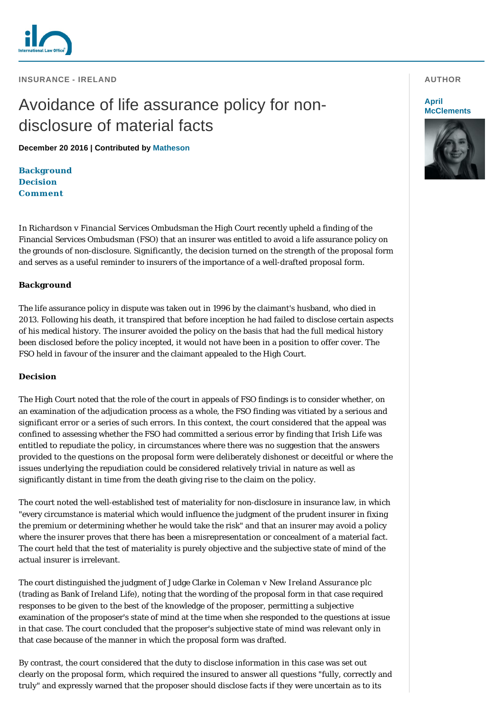

**INSURANCE - IRELAND** 

# Avoidance of life assurance policy for nondisclosure of material facts

**December 20 2016 | Contributed by [Matheson](http://www.internationallawoffice.com/gesr.ashx?l=7TAFX5A)**

**[Background](#page-0-0) [Decision](#page-0-1) [Comment](#page-1-0)**

In *Richardson v Financial Services Ombudsman* the High Court recently upheld a finding of the Financial Services Ombudsman (FSO) that an insurer was entitled to avoid a life assurance policy on the grounds of non-disclosure. Significantly, the decision turned on the strength of the proposal form and serves as a useful reminder to insurers of the importance of a well-drafted proposal form.

## <span id="page-0-0"></span>**Background**

The life assurance policy in dispute was taken out in 1996 by the claimant's husband, who died in 2013. Following his death, it transpired that before inception he had failed to disclose certain aspects of his medical history. The insurer avoided the policy on the basis that had the full medical history been disclosed before the policy incepted, it would not have been in a position to offer cover. The FSO held in favour of the insurer and the claimant appealed to the High Court.

#### <span id="page-0-1"></span>**Decision**

The High Court noted that the role of the court in appeals of FSO findings is to consider whether, on an examination of the adjudication process as a whole, the FSO finding was vitiated by a serious and significant error or a series of such errors. In this context, the court considered that the appeal was confined to assessing whether the FSO had committed a serious error by finding that Irish Life was entitled to repudiate the policy, in circumstances where there was no suggestion that the answers provided to the questions on the proposal form were deliberately dishonest or deceitful or where the issues underlying the repudiation could be considered relatively trivial in nature as well as significantly distant in time from the death giving rise to the claim on the policy.

The court noted the well-established test of materiality for non-disclosure in insurance law, in which "every circumstance is material which would influence the judgment of the prudent insurer in fixing the premium or determining whether he would take the risk" and that an insurer may avoid a policy where the insurer proves that there has been a misrepresentation or concealment of a material fact. The court held that the test of materiality is purely objective and the subjective state of mind of the actual insurer is irrelevant.

The court distinguished the judgment of Judge Clarke in *Coleman v New Ireland Assurance plc* (trading as Bank of Ireland Life), noting that the wording of the proposal form in that case required responses to be given to the best of the knowledge of the proposer, permitting a subjective examination of the proposer's state of mind at the time when she responded to the questions at issue in that case. The court concluded that the proposer's subjective state of mind was relevant only in that case because of the manner in which the proposal form was drafted.

By contrast, the court considered that the duty to disclose information in this case was set out clearly on the proposal form, which required the insured to answer all questions "fully, correctly and truly" and expressly warned that the proposer should disclose facts if they were uncertain as to its

#### **AUTHOR**

#### **April [McClements](http://www.internationallawoffice.com/gesr.ashx?l=7TAFX5D)**